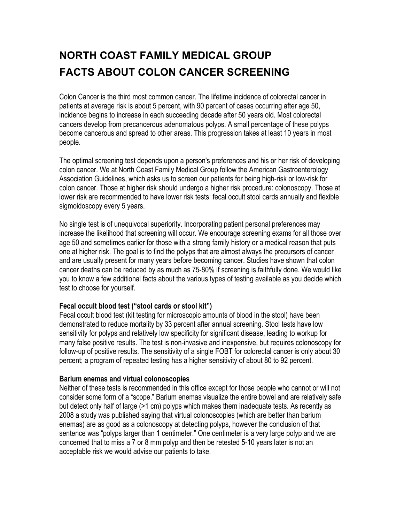# **NORTH COAST FAMILY MEDICAL GROUP FACTS ABOUT COLON CANCER SCREENING**

Colon Cancer is the third most common cancer. The lifetime incidence of colorectal cancer in patients at average risk is about 5 percent, with 90 percent of cases occurring after age 50, incidence begins to increase in each succeeding decade after 50 years old. Most colorectal cancers develop from precancerous adenomatous polyps. A small percentage of these polyps become cancerous and spread to other areas. This progression takes at least 10 years in most people.

The optimal screening test depends upon a person's preferences and his or her risk of developing colon cancer. We at North Coast Family Medical Group follow the American Gastroenterology Association Guidelines, which asks us to screen our patients for being high-risk or low-risk for colon cancer. Those at higher risk should undergo a higher risk procedure: colonoscopy. Those at lower risk are recommended to have lower risk tests: fecal occult stool cards annually and flexible sigmoidoscopy every 5 years.

No single test is of unequivocal superiority. Incorporating patient personal preferences may increase the likelihood that screening will occur. We encourage screening exams for all those over age 50 and sometimes earlier for those with a strong family history or a medical reason that puts one at higher risk. The goal is to find the polyps that are almost always the precursors of cancer and are usually present for many years before becoming cancer. Studies have shown that colon cancer deaths can be reduced by as much as 75-80% if screening is faithfully done. We would like you to know a few additional facts about the various types of testing available as you decide which test to choose for yourself.

### **Fecal occult blood test ("stool cards or stool kit")**

Fecal occult blood test (kit testing for microscopic amounts of blood in the stool) have been demonstrated to reduce mortality by 33 percent after annual screening. Stool tests have low sensitivity for polyps and relatively low specificity for significant disease, leading to workup for many false positive results. The test is non-invasive and inexpensive, but requires colonoscopy for follow-up of positive results. The sensitivity of a single FOBT for colorectal cancer is only about 30 percent; a program of repeated testing has a higher sensitivity of about 80 to 92 percent.

### **Barium enemas and virtual colonoscopies**

Neither of these tests is recommended in this office except for those people who cannot or will not consider some form of a "scope." Barium enemas visualize the entire bowel and are relatively safe but detect only half of large (>1 cm) polyps which makes them inadequate tests. As recently as 2008 a study was published saying that virtual colonoscopies (which are better than barium enemas) are as good as a colonoscopy at detecting polyps, however the conclusion of that sentence was "polyps larger than 1 centimeter." One centimeter is a very large polyp and we are concerned that to miss a 7 or 8 mm polyp and then be retested 5-10 years later is not an acceptable risk we would advise our patients to take.